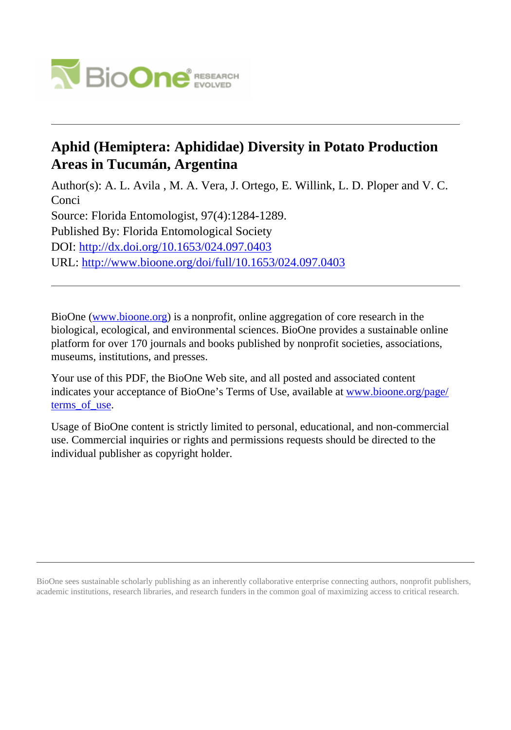

# **Aphid (Hemiptera: Aphididae) Diversity in Potato Production Areas in Tucumán, Argentina**

Author(s): A. L. Avila , M. A. Vera, J. Ortego, E. Willink, L. D. Ploper and V. C. Conci Source: Florida Entomologist, 97(4):1284-1289. Published By: Florida Entomological Society DOI:<http://dx.doi.org/10.1653/024.097.0403> URL: <http://www.bioone.org/doi/full/10.1653/024.097.0403>

BioOne [\(www.bioone.org\)](http://www.bioone.org) is a nonprofit, online aggregation of core research in the biological, ecological, and environmental sciences. BioOne provides a sustainable online platform for over 170 journals and books published by nonprofit societies, associations, museums, institutions, and presses.

Your use of this PDF, the BioOne Web site, and all posted and associated content indicates your acceptance of BioOne's Terms of Use, available at [www.bioone.org/page/](http://www.bioone.org/page/terms_of_use) [terms\\_of\\_use.](http://www.bioone.org/page/terms_of_use)

Usage of BioOne content is strictly limited to personal, educational, and non-commercial use. Commercial inquiries or rights and permissions requests should be directed to the individual publisher as copyright holder.

BioOne sees sustainable scholarly publishing as an inherently collaborative enterprise connecting authors, nonprofit publishers, academic institutions, research libraries, and research funders in the common goal of maximizing access to critical research.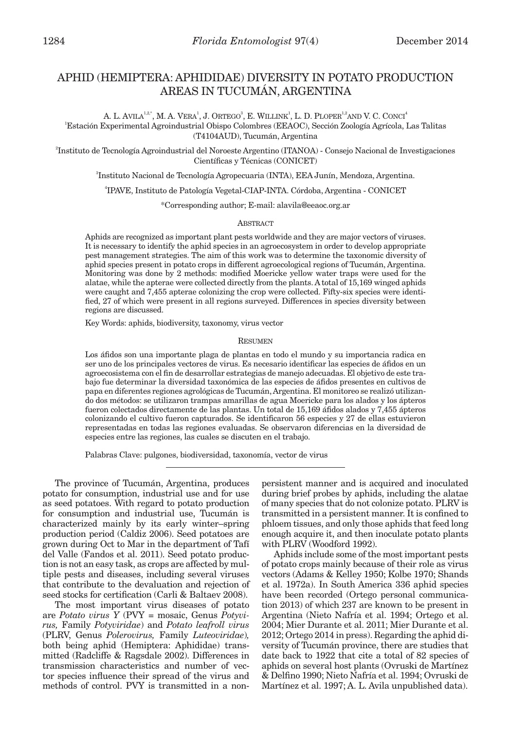# APHID (HEMIPTERA: APHIDIDAE) DIVERSITY IN POTATO PRODUCTION AREAS IN TUCUMÁN, ARGENTINA

A. L. AVILA $^{1,2,^\ast}$ , M. A. Vera $^1$ , J. Ortego $^3$ , E. Willink $^1$ , L. D. Ploper $^{12}$ and V. C. Conci $^4$ 1 Estación Experimental Agroindustrial Obispo Colombres (EEAOC), Sección Zoología Agrícola, Las Talitas (T4104AUD), Tucumán, Argentina

2 Instituto de Tecnología Agroindustrial del Noroeste Argentino (ITANOA) - Consejo Nacional de Investigaciones Científicas y Técnicas (CONICET)

3 Instituto Nacional de Tecnología Agropecuaria (INTA), EEA Junín, Mendoza, Argentina.

4 IPAVE, Instituto de Patología Vegetal-CIAP-INTA. Córdoba, Argentina - CONICET

\*Corresponding author; E-mail: alavila@eeaoc.org.ar

## ABSTRACT

Aphids are recognized as important plant pests worldwide and they are major vectors of viruses. It is necessary to identify the aphid species in an agroecosystem in order to develop appropriate pest management strategies. The aim of this work was to determine the taxonomic diversity of aphid species present in potato crops in different agroecological regions of Tucumán, Argentina. Monitoring was done by 2 methods: modified Moericke yellow water traps were used for the alatae, while the apterae were collected directly from the plants. A total of 15,169 winged aphids were caught and 7,455 apterae colonizing the crop were collected. Fifty-six species were identified, 27 of which were present in all regions surveyed. Differences in species diversity between regions are discussed.

Key Words: aphids, biodiversity, taxonomy, virus vector

#### RESUMEN

Los áfidos son una importante plaga de plantas en todo el mundo y su importancia radica en ser uno de los principales vectores de virus. Es necesario identificar las especies de áfidos en un agroecosistema con el fin de desarrollar estrategias de manejo adecuadas. El objetivo de este trabajo fue determinar la diversidad taxonómica de las especies de áfidos presentes en cultivos de papa en diferentes regiones agrológicas de Tucumán, Argentina. El monitoreo se realizó utilizando dos métodos: se utilizaron trampas amarillas de agua Moericke para los alados y los ápteros fueron colectados directamente de las plantas. Un total de 15,169 áfidos alados y 7,455 ápteros colonizando el cultivo fueron capturados. Se identificaron 56 especies y 27 de ellas estuvieron representadas en todas las regiones evaluadas. Se observaron diferencias en la diversidad de especies entre las regiones, las cuales se discuten en el trabajo.

Palabras Clave: pulgones, biodiversidad, taxonomía, vector de virus

The province of Tucumán, Argentina, produces potato for consumption, industrial use and for use as seed potatoes. With regard to potato production for consumption and industrial use, Tucumán is characterized mainly by its early winter–spring production period (Caldiz 2006). Seed potatoes are grown during Oct to Mar in the department of Tafí del Valle (Fandos et al. 2011). Seed potato production is not an easy task, as crops are affected by multiple pests and diseases, including several viruses that contribute to the devaluation and rejection of seed stocks for certification (Carli & Baltaev 2008).

The most important virus diseases of potato are *Potato virus Y* (PVY = mosaic, Genus *Potyvirus,* Family *Potyviridae*) and *Potato leafroll virus* (PLRV, Genus *Polerovirus,* Family *Luteoviridae*)*,*  both being aphid (Hemiptera: Aphididae) transmitted (Radcliffe & Ragsdale 2002). Differences in transmission characteristics and number of vector species influence their spread of the virus and methods of control. PVY is transmitted in a nonpersistent manner and is acquired and inoculated during brief probes by aphids, including the alatae of many species that do not colonize potato. PLRV is transmitted in a persistent manner. It is confined to phloem tissues, and only those aphids that feed long enough acquire it, and then inoculate potato plants with PLRV (Woodford 1992).

Aphids include some of the most important pests of potato crops mainly because of their role as virus vectors (Adams & Kelley 1950; Kolbe 1970; Shands et al. 1972a). In South America 336 aphid species have been recorded (Ortego personal communication 2013) of which 237 are known to be present in Argentina (Nieto Nafría et al. 1994; Ortego et al. 2004; Mier Durante et al. 2011; Mier Durante et al. 2012; Ortego 2014 in press). Regarding the aphid diversity of Tucumán province, there are studies that date back to 1922 that cite a total of 82 species of aphids on several host plants (Ovruski de Martínez & Delfino 1990; Nieto Nafría et al. 1994; Ovruski de Martínez et al. 1997; A. L. Avila unpublished data).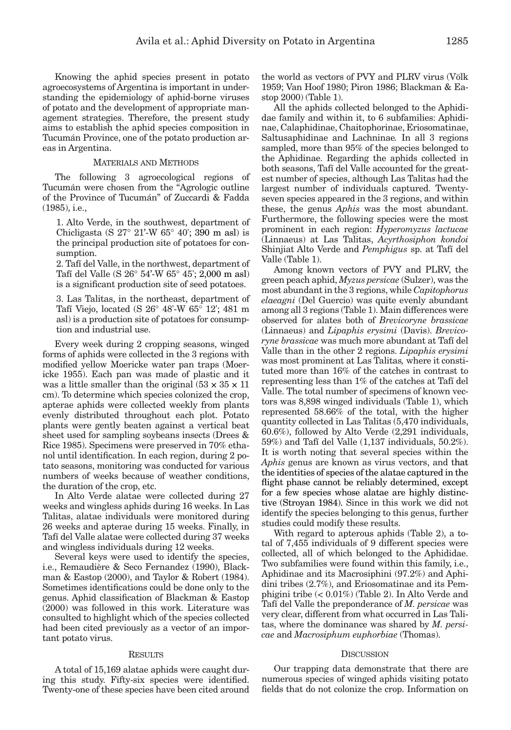Knowing the aphid species present in potato agroecosystems of Argentina is important in understanding the epidemiology of aphid-borne viruses of potato and the development of appropriate management strategies. Therefore, the present study aims to establish the aphid species composition in Tucumán Province, one of the potato production areas in Argentina.

# MATERIALS AND METHODS

The following 3 agroecological regions of Tucumán were chosen from the "Agrologic outline of the Province of Tucumán" of Zuccardi & Fadda (1985), i.e.,

1. Alto Verde, in the southwest, department of Chicligasta (S 27° 21'-W 65° 40'; 390 m asl) is the principal production site of potatoes for consumption.

2. Tafí del Valle, in the northwest, department of Tafí del Valle (S 26° 54'-W 65° 45'; 2,000 m asl) is a significant production site of seed potatoes.

3. Las Talitas, in the northeast, department of Tafí Viejo, located (S 26° 48'-W 65° 12'; 481 m asl) is a production site of potatoes for consumption and industrial use.

Every week during 2 cropping seasons, winged forms of aphids were collected in the 3 regions with modified yellow Moericke water pan traps (Moericke 1955). Each pan was made of plastic and it was a little smaller than the original  $(53 \times 35 \times 11)$ cm). To determine which species colonized the crop, apterae aphids were collected weekly from plants evenly distributed throughout each plot. Potato plants were gently beaten against a vertical beat sheet used for sampling soybeans insects (Drees & Rice 1985). Specimens were preserved in 70% ethanol until identification. In each region, during 2 potato seasons, monitoring was conducted for various numbers of weeks because of weather conditions, the duration of the crop, etc.

In Alto Verde alatae were collected during 27 weeks and wingless aphids during 16 weeks. In Las Talitas, alatae individuals were monitored during 26 weeks and apterae during 15 weeks. Finally, in Tafí del Valle alatae were collected during 37 weeks and wingless individuals during 12 weeks.

Several keys were used to identify the species, i.e., Remaudière & Seco Fernandez (1990), Blackman & Eastop (2000), and Taylor & Robert (1984). Sometimes identifications could be done only to the genus. Aphid classification of Blackman & Eastop (2000) was followed in this work. Literature was consulted to highlight which of the species collected had been cited previously as a vector of an important potato virus.

# **RESULTS**

A total of 15,169 alatae aphids were caught during this study. Fifty-six species were identified. Twenty-one of these species have been cited around the world as vectors of PVY and PLRV virus (Völk 1959; Van Hoof 1980; Piron 1986; Blackman & Eastop 2000) (Table 1).

All the aphids collected belonged to the Aphididae family and within it, to 6 subfamilies: Aphidinae, Calaphidinae, Chaitophorinae, Eriosomatinae, Saltusaphidinae and Lachninae*.* In all 3 regions sampled, more than 95% of the species belonged to the Aphidinae. Regarding the aphids collected in both seasons, Tafí del Valle accounted for the greatest number of species, although Las Talitas had the largest number of individuals captured. Twentyseven species appeared in the 3 regions, and within these, the genus *Aphis* was the most abundant. Furthermore, the following species were the most prominent in each region: *Hyperomyzus lactucae*  (Linnaeus) at Las Talitas, *Acyrthosiphon kondoi*  Shinjiat Alto Verde and *Pemphigus* sp. at Tafí del Valle (Table 1).

Among known vectors of PVY and PLRV, the green peach aphid, *Myzus persicae* (Sulzer), was the most abundant in the 3 regions, while *Capitophorus elaeagni* (Del Guercio) was quite evenly abundant among all 3 regions (Table 1). Main differences were observed for alates both of *Brevicoryne brassicae*  (Linnaeus) and *Lipaphis erysimi* (Davis). *Brevicoryne brassicae* was much more abundant at Tafí del Valle than in the other 2 regions. *Lipaphis erysimi* was most prominent at Las Talitas*,* where it constituted more than 16% of the catches in contrast to representing less than 1% of the catches at Tafí del Valle. The total number of specimens of known vectors was 8,898 winged individuals (Table 1), which represented 58.66% of the total, with the higher quantity collected in Las Talitas (5,470 individuals, 60.6%), followed by Alto Verde (2,291 individuals, 59%) and Tafí del Valle (1,137 individuals, 50.2%). It is worth noting that several species within the *Aphis* genus are known as virus vectors, and that the identities of species of the alatae captured in the flight phase cannot be reliably determined, except for a few species whose alatae are highly distinctive (Stroyan 1984). Since in this work we did not identify the species belonging to this genus, further studies could modify these results.

With regard to apterous aphids (Table 2), a total of 7,455 individuals of 9 different species were collected, all of which belonged to the Aphididae. Two subfamilies were found within this family, i.e., Aphidinae and its Macrosiphini (97.2%) and Aphidini tribes (2.7%), and Eriosomatinae and its Pemphigini tribe (< 0.01%) (Table 2). In Alto Verde and Tafí del Valle the preponderance of *M. persicae* was very clear, different from what occurred in Las Talitas, where the dominance was shared by *M. persicae* and *Macrosiphum euphorbiae* (Thomas).

#### **DISCUSSION**

Our trapping data demonstrate that there are numerous species of winged aphids visiting potato fields that do not colonize the crop. Information on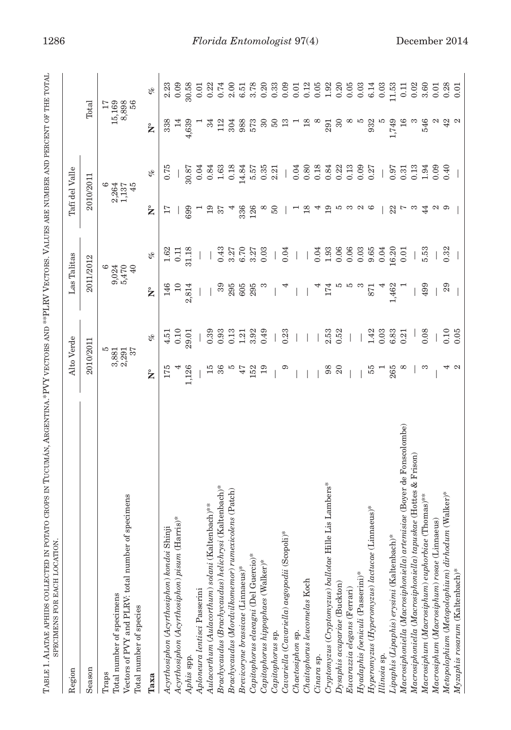| IIIImam and III in the three control in the control of the control of the control of the control of the control of the control of the control of the control of the control of the control of the control of the control of th |                         |
|--------------------------------------------------------------------------------------------------------------------------------------------------------------------------------------------------------------------------------|-------------------------|
| Ĭ.<br>$\overline{\text{N} \text{N}}$<br>۱,<br>(<br>くり<br>)<br>)                                                                                                                                                                | こくしゅうそう こうしょう じょうしょうきょく |
| $\frac{1}{2}$<br>I                                                                                                                                                                                                             |                         |

| Region                                                                            | Alto Verde         |                  | Las Talitas        |                |                     | Tafí del Valle     |                    |       |
|-----------------------------------------------------------------------------------|--------------------|------------------|--------------------|----------------|---------------------|--------------------|--------------------|-------|
| Season                                                                            | 2010/2011          |                  | 2011/2012          |                |                     | 2010/2011          | Total              |       |
| Traps                                                                             |                    | ю                |                    | అ              |                     | అ                  |                    | 17    |
|                                                                                   |                    |                  |                    |                |                     |                    | 15,169             |       |
| Total number of specimens                                                         | $3,881$<br>$2,291$ |                  | $9,024$<br>$5,470$ |                |                     | $2,264$<br>$1,137$ |                    |       |
| Vectors of PVY and PLRV: total number of specimens                                |                    | 37               |                    | 40             |                     | 45                 | 8,898              |       |
| Total number of species                                                           |                    |                  |                    |                |                     |                    |                    |       |
| Таха                                                                              | $\mathsf{\hat{z}}$ | of               | $\mathsf{\hat{z}}$ | of             | $\mathsf{\hat{z}}$  | of                 | $\mathsf{\hat{z}}$ | of    |
| Acyrthosiphon (Acyrthosiphon) kondoi Shinji                                       | 175                | 4.51             | 146                | 1.62           | 17                  | 0.75               | 338                | 2.23  |
| Acyrthosiphon (Acyrthosiphon) pisum (Harris)*                                     |                    | 0.10             | $\overline{10}$    | $\overline{0}$ |                     |                    |                    | 0.09  |
| Aphis spp.                                                                        | 1,126              | 29.01            | 2,814              | 31.18          | 699                 | 30.87              | 4,639              | 30.58 |
| Aploneura lentisci Passerini                                                      |                    |                  |                    |                |                     | 0.04               |                    | 0.01  |
| Aulacorthum (Aulacorthum) solani (Kaltenbach)**                                   | 15                 | 0.39             |                    |                | 19                  | 0.84               | చె                 | 0.22  |
| Brachycaudus (Brachycaudus) helichrysi (Kaltenbach)*                              | 36                 | 0.93             | 89                 | 0.43           | 57                  | 1.63               | 112                | 0.74  |
| Brachycaudus (Mordvilkomemor) rumexicolens (Patch)                                | w                  | 0.13             | 295                | 3.27           |                     | 0.18               | 304                | 2.00  |
| Brevicoryne brassicae (Linnaeus)*                                                 | 47                 | $1.21$<br>$3.92$ | 605                | 6.70           | 336                 | 14.84              | 988                | 6.51  |
| Capitophorus elaeagni (Del Guercio)*                                              | 152                |                  | 295                | 3.27           | 126                 | 5.57               | 573                | 3.78  |
| Capitophorus hippophaes (Walker)*                                                 | 19                 | 0.49             |                    | 0.03           | ∞                   | 0.35               | $30\,$             | 0.20  |
| Capitophorus sp.                                                                  |                    |                  |                    |                | $50^{\circ}$        | 2.21               | 50                 | 0.33  |
| Cavariella (Cavariella) aegopodii (Scopoli)*                                      | ග                  | 0.23             |                    | 0.04           |                     |                    | $\mathbb{C}$       | 0.09  |
| Chaetosiphon sp.                                                                  |                    |                  |                    |                |                     | 0.04               |                    | 0.01  |
| Chaitophorus leucomelas Koch                                                      |                    |                  |                    |                | 18                  | 0.80               | $^{18}$            | 0.12  |
| Cinara sp.                                                                        |                    |                  |                    | 0.04           | 4                   | 0.18               | $\infty$           | 0.05  |
| Cryptomyzus (Cryptomyzus) ballotae Hille Lis Lambers*                             | 98                 | 2.53             | 174                | 1.93           | 19                  | 0.84               | 291                | 1.92  |
| Dysaphis acupariae (Buckton)                                                      | $\Omega$           | 0.52             | S                  | 0.06           | IJ                  | 0.22               | $\frac{6}{3}$      | 0.20  |
| Eucarazzia elegans (Ferrari)                                                      |                    |                  | P                  | 0.06           | ಣ                   | 0.13               |                    | 0.05  |
| Hyadaphis foeniculi (Passerini)*                                                  |                    |                  |                    | 0.03           | $\mathbf{\Omega}$   | 0.09               | P                  | 0.03  |
| $Hyperomyzus (Hyperomyzus)$ lactucae (Linnaeus)*                                  | 55                 | 1.42             | 871                | 9.65           | అ                   | 0.27               | 932                | 6.14  |
| Illinoia sp.                                                                      |                    | 0.03             |                    | 0.04           |                     |                    |                    | 0.03  |
| Lipaphis (Lipaphis) erysimi (Kaltenbach)*                                         | 265                | 6.83             | ,462               | 6.20           | $22$ $\overline{7}$ | 0.97               | 1,749              | 11.53 |
| <i>cae</i> (Boyer de Fonscolombe)<br>Macrosiphoniella (Macrosiphoniella) artemisi | $\infty$           | 0.21             |                    | 0.01           |                     | 0.31               | 16                 | 0.11  |
| Macrosiphoniella (Macrosiphoniella) tapuskae (Hottes & Frison)                    |                    |                  |                    |                | က                   | 0.13               |                    | 0.02  |
| Macrosiphum (Macrosiphum) euphorbiae (Thomas)**                                   | က                  | 0.08             | 499                | 5.53           | 44                  | 1.94               | 546                | 3.60  |
| Macrosiphum (Macrosiphum) rosae (Linnaeus)                                        |                    |                  |                    |                | N                   | 0.09               | $\mathfrak{a}$     | 0.01  |
| Metopolophium (Metopolophium) dirhodum (Walker)*                                  | ↤                  | 0.10             | 29                 | 0.32           | ာ                   | 0.40               | $42$ $\alpha$      | 0.28  |
| Myzaphis rosarum (Kaltenbach)*                                                    | $\sim$             | 0.05             |                    |                |                     |                    |                    | 0.01  |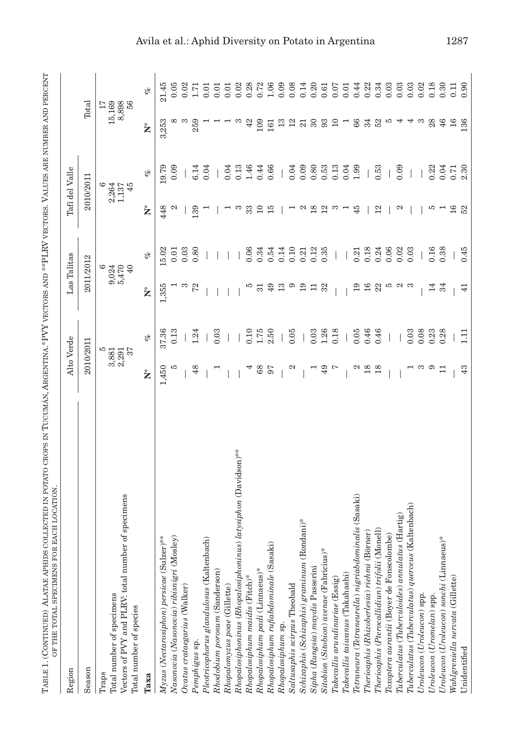| Region                                                                                                              |                | Alto Verde       |                 | Las Talitas                     |                 | Tafí del Valle            |                 |       |
|---------------------------------------------------------------------------------------------------------------------|----------------|------------------|-----------------|---------------------------------|-----------------|---------------------------|-----------------|-------|
| Season                                                                                                              | 2010/2011      |                  |                 | 2011/2012                       |                 | 2010/2011                 | Total           |       |
| Vectors of PVY and PLRV: total number of specimens<br>Total number of specimens<br>Total number of species<br>Traps | 3,881<br>2,291 | ю<br>57          |                 | 9,024<br>5,470<br>40<br>$\circ$ |                 | 2,264<br>1,137<br>45<br>అ | 15,169<br>8,898 | 56    |
| Таха                                                                                                                | ż              | of               | ż               | of                              | ż               | of                        | ż               | of    |
| Myzus (Nectarosiphon) persicae (Sulzer)***                                                                          | 1,450          | 37.36            | 1,355           | 5.02                            | 448             | 19.79                     | 3,253           | 21.45 |
| Nasonovia (Nasonovia) ribisnigri (Mosley)                                                                           | S              | 0.13             |                 | 0.01                            | N               | 0.09                      |                 | 0.05  |
| Ovatus crataegarius (Walker)                                                                                        |                |                  | ಣ               | 0.03                            |                 |                           | ಣ               | 0.02  |
| Pemphigus sp.                                                                                                       | 48             | 1.24             | 72              | 0.80                            | 139             | 6.14                      | 259             | 1.71  |
| Pleotricophorus glandulosus (Kaltenbach)                                                                            |                |                  |                 |                                 |                 | 0.04                      |                 | 0.01  |
| Rhodobium porosum (Sanderson)                                                                                       |                | 0.03             |                 |                                 |                 |                           |                 | 0.01  |
| Rhopalomyzus poae (Gillette)                                                                                        |                |                  |                 |                                 |                 | 0.04                      |                 | 0.01  |
| Rhopalosiphoninus (Rhopalosiphoninus) latysiphon (Davidson)***                                                      |                |                  |                 |                                 | ಣ               | 0.13                      | ಣ               | 0.02  |
| Rhopalosiphum maidis (Fitch)*                                                                                       |                | 0.10             | w               | 0.06                            | 33              | 1.46                      | 42              | 0.28  |
| Rhopalosiphum padi (Linnaeus)*                                                                                      | 68             | $1.75$<br>$2.50$ | $\overline{51}$ | 0.34                            | $\overline{10}$ | 0.44                      | 109             | 0.72  |
| Rhopalosiphum rufiabdominale (Sasaki)                                                                               | 57             |                  | 49              | 0.54                            | 15              | 0.66                      | 161             | 1.06  |
| Rhopalosiphum sp.                                                                                                   |                |                  | 13              | 0.14                            |                 |                           | 13              | 0.09  |
| Saltusaphis scirpus Theobald                                                                                        | $\mathfrak{a}$ | 0.05             | G               | 0.10                            |                 | 0.04                      | 12              | 0.08  |
| Schizaphis (Schizaphis) graminum (Rondani)                                                                          |                |                  | 19              | 0.21                            | N               | 0.09                      | $^{21}$         | 0.14  |
| Sipha (Rungsia) maydis Passerini                                                                                    |                | 0.03             | Ξ               | 0.12                            | 18              | 0.80                      | $30\,$          | 0.20  |
| Sitobion (Sitobion) avenae (Fabricius)*                                                                             | 49             | 1.26             | 32              | 0.35                            | 12              | 0.53                      | 93              | 0.61  |
| Takecallis arundinariae (Essig)                                                                                     | L              | 0.18             |                 |                                 | ಣ               | 0.13                      | 10              | 0.07  |
| Takecallis taiwanus (Takahashi)                                                                                     |                |                  |                 |                                 |                 | 0.04                      |                 | 0.01  |
| Sasaki)<br>Tetraneura (Tetraneurella) nigriabdominalis                                                              | N              | 0.05             | 19              | 0.21                            | 45              | 1.99                      | 88              | 0.44  |
| Therioaphis (Rhizoberlesia) riehmi (Börner)                                                                         | 18             | 0.46             | 16              | 0.18                            |                 |                           | 34              | 0.22  |
| Therioaphis (Pterocallidiun) trifolii (Monell)                                                                      | 18             | 0.46             | 22              | 0.24                            | 12              | 0.53                      | 52              | 0.34  |
| Toxoptera aurantii (Boyer de Fonscolombe)                                                                           |                |                  | IJ              | 0.06                            |                 |                           | P               | 0.03  |
| $The$ $reulatus (The$ $reuloides) anulatus$ (Hartig)                                                                |                |                  | $\approx$       | 0.02                            | N               | 0.09                      | 4               | 0.03  |
| Tuberculatus (Tuberculatus) querceus (Kaltenbach)                                                                   |                | 0.03             |                 | 0.03                            |                 |                           | 4               | 0.03  |
| Uroleucon (Uroleucon) spp.                                                                                          | ಣ              | 0.08             |                 |                                 |                 |                           | S               | 0.02  |
| Uroleucon (Uromelan) spp.                                                                                           | ာ              | 0.23             | 14              | 0.16                            | w               | 0.22                      | 28              | 0.18  |
| Uroleucon (Uroleucon) sonchi (Linnaeus)*                                                                            |                | 0.28             | 34              | 0.38                            |                 | 0.04                      | 46              | 0.30  |
| Wahlgreniella nervata (Gillette)                                                                                    |                |                  |                 |                                 | 16              | 0.71                      | 16              | 0.11  |
| Unidentified                                                                                                        | 43             | Ξ                | 41              | 0.45                            | 52              | 2.30                      | 136             | 0.90  |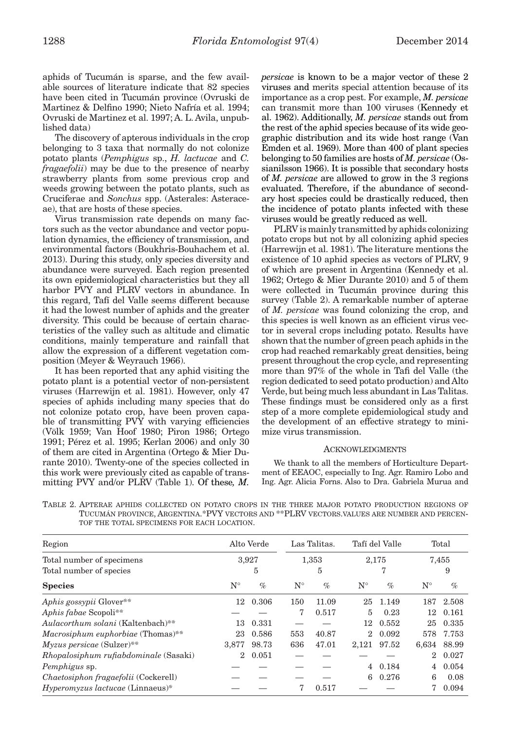aphids of Tucumán is sparse, and the few available sources of literature indicate that 82 species have been cited in Tucumán province (Ovruski de Martinez & Delfino 1990; Nieto Nafría et al. 1994; Ovruski de Martinez et al. 1997; A. L. Avila, unpublished data)

The discovery of apterous individuals in the crop belonging to 3 taxa that normally do not colonize potato plants (*Pemphigus* sp., *H. lactucae* and *C. fragaefolii*) may be due to the presence of nearby strawberry plants from some previous crop and weeds growing between the potato plants, such as Cruciferae and *Sonchus* spp. (Asterales: Asteraceae), that are hosts of these species.

Virus transmission rate depends on many factors such as the vector abundance and vector population dynamics, the efficiency of transmission, and environmental factors (Boukhris-Bouhachem et al. 2013). During this study, only species diversity and abundance were surveyed. Each region presented its own epidemiological characteristics but they all harbor PVY and PLRV vectors in abundance. In this regard, Tafí del Valle seems different because it had the lowest number of aphids and the greater diversity. This could be because of certain characteristics of the valley such as altitude and climatic conditions, mainly temperature and rainfall that allow the expression of a different vegetation composition (Meyer & Weyrauch 1966).

It has been reported that any aphid visiting the potato plant is a potential vector of non-persistent viruses (Harrewijn et al. 1981). However, only 47 species of aphids including many species that do not colonize potato crop, have been proven capable of transmitting PVY with varying efficiencies (Völk 1959; Van Hoof 1980; Piron 1986; Ortego 1991; Pérez et al. 1995; Kerlan 2006) and only 30 of them are cited in Argentina (Ortego & Mier Durante 2010). Twenty-one of the species collected in this work were previously cited as capable of transmitting PVY and/or PLRV (Table 1). Of these*, M.*  *persicae* is known to be a major vector of these 2 viruses and merits special attention because of its importance as a crop pest. For example, *M. persicae* can transmit more than 100 viruses (Kennedy et al. 1962). Additionally, *M. persicae* stands out from the rest of the aphid species because of its wide geographic distribution and its wide host range (Van Emden et al. 1969). More than 400 of plant species belonging to 50 families are hosts of *M. persicae* (Ossianilsson 1966). It is possible that secondary hosts of *M. persicae* are allowed to grow in the 3 regions evaluated. Therefore, if the abundance of secondary host species could be drastically reduced, then the incidence of potato plants infected with these viruses would be greatly reduced as well.

PLRV is mainly transmitted by aphids colonizing potato crops but not by all colonizing aphid species (Harrewijn et al. 1981). The literature mentions the existence of 10 aphid species as vectors of PLRV, 9 of which are present in Argentina (Kennedy et al. 1962; Ortego & Mier Durante 2010) and 5 of them were collected in Tucumán province during this survey (Table 2). A remarkable number of apterae of *M. persicae* was found colonizing the crop, and this species is well known as an efficient virus vector in several crops including potato. Results have shown that the number of green peach aphids in the crop had reached remarkably great densities, being present throughout the crop cycle, and representing more than 97% of the whole in Tafi del Valle (the region dedicated to seed potato production) and Alto Verde, but being much less abundant in Las Talitas. These findings must be considered only as a first step of a more complete epidemiological study and the development of an effective strategy to minimize virus transmission.

#### ACKNOWLEDGMENTS

We thank to all the members of Horticulture Department of EEAOC, especially to Ing. Agr. Ramiro Lobo and Ing. Agr. Alicia Forns. Also to Dra. Gabriela Murua and

|  |                                            |  |  |  |  | TABLE 2. APTERAE APHIDS COLLECTED ON POTATO CROPS IN THE THREE MAJOR POTATO PRODUCTION REGIONS OF |  |
|--|--------------------------------------------|--|--|--|--|---------------------------------------------------------------------------------------------------|--|
|  |                                            |  |  |  |  | TUCUMÁN PROVINCE. ARGENTINA.*PVY VECTORS AND **PLRV VECTORS.VALUES ARE NUMBER AND PERCEN-         |  |
|  | TOF THE TOTAL SPECIMENS FOR EACH LOCATION. |  |  |  |  |                                                                                                   |  |

| Region                                |             | Alto Verde |             | Las Talitas. |             | Tafí del Valle |                    | Total       |
|---------------------------------------|-------------|------------|-------------|--------------|-------------|----------------|--------------------|-------------|
| Total number of specimens             | 3,927       |            |             | 1,353        |             | 2,175          |                    | 7,455       |
| Total number of species               |             | 5          |             | 5            |             | 7              |                    | 9           |
| <b>Species</b>                        | $N^{\circ}$ | $\%$       | $N^{\circ}$ | $\%$         | $N^{\circ}$ | $\%$           | $\mathrm{N}^\circ$ | $\%$        |
| Aphis gossypii Glover**               | 12          | 0.306      | 150         | 11.09        | 25          | 1.149          | 187                | 2.508       |
| Aphis fabae Scopoli**                 |             |            | 7           | 0.517        | 5           | 0.23           | 12                 | 0.161       |
| Aulacorthum solani (Kaltenbach)**     | 13          | 0.331      |             |              |             | 12 0.552       | 25                 | 0.335       |
| Macrosiphum euphorbiae (Thomas)**     | 23          | 0.586      | 553         | 40.87        | $^{2}$      | 0.092          |                    | 578 7.753   |
| Myzus persicae (Sulzer)**             | 3,877       | 98.73      | 636         | 47.01        | 2,121       | 97.52          |                    | 6,634 88.99 |
| Rhopalosiphum rufiabdominale (Sasaki) | $^{2}$      | 0.051      |             |              |             |                | $^{2}$             | 0.027       |
| <i>Pemphigus</i> sp.                  |             |            |             |              | 4           | 0.184          | 4                  | 0.054       |
| Chaetosiphon fragaefolii (Cockerell)  |             |            |             |              | 6           | 0.276          | 6                  | 0.08        |
| $Hyperomyzus lactucae$ (Linnaeus)*    |             |            | 7           | 0.517        |             |                |                    | 0.094       |